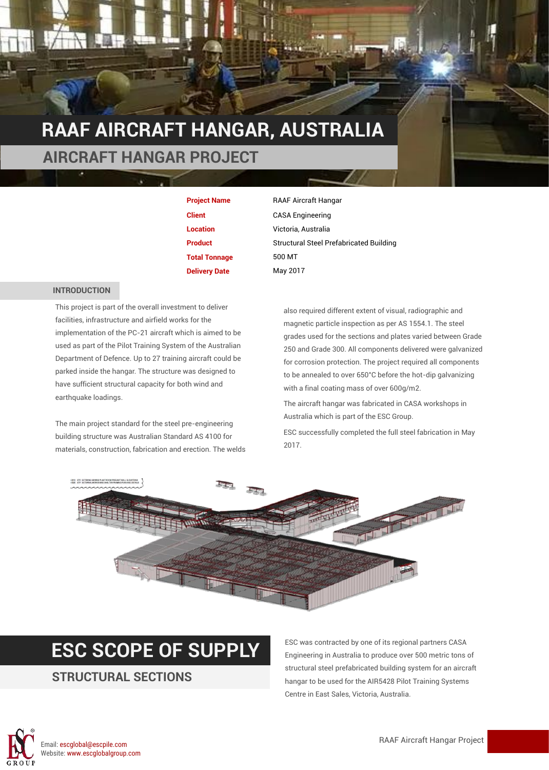

| <b>Project Name</b>  |
|----------------------|
| <b>Client</b>        |
| <b>Location</b>      |
| <b>Product</b>       |
| <b>Total Tonnage</b> |
| <b>Delivery Date</b> |

**CASA Engineering Location** Victoria, Australia **Structural Steel Prefabricated Building Total Tonnage** 500 MT **May 2017** 

#### **INTRODUCTION**

This project is part of the overall investment to deliver facilities, infrastructure and airfield works for the implementation of the PC-21 aircraft which is aimed to be used as part of the Pilot Training System of the Australian Department of Defence. Up to 27 training aircraft could be parked inside the hangar. The structure was designed to have sufficient structural capacity for both wind and earthquake loadings.

The main project standard for the steel pre-engineering building structure was Australian Standard AS 4100 for materials, construction, fabrication and erection. The welds also required different extent of visual, radiographic and magnetic particle inspection as per AS 1554.1. The steel grades used for the sections and plates varied between Grade 250 and Grade 300. All components delivered were galvanized for corrosion protection. The project required all components to be annealed to over 650°C before the hot-dip galvanizing with a final coating mass of over 600g/m2.

The aircraft hangar was fabricated in CASA workshops in Australia which is part of the ESC Group.

ESC successfully completed the full steel fabrication in May 2017.



#### **ESC SCOPE OF SUPPLY** ESC was contracted by one of its regional partners CASA

#### **STRUCTURAL SECTIONS**

Engineering in Australia to produce over 500 metric tons of structural steel prefabricated building system for an aircraft hangar to be used for the AIR5428 Pilot Training Systems Centre in East Sales, Victoria, Australia.

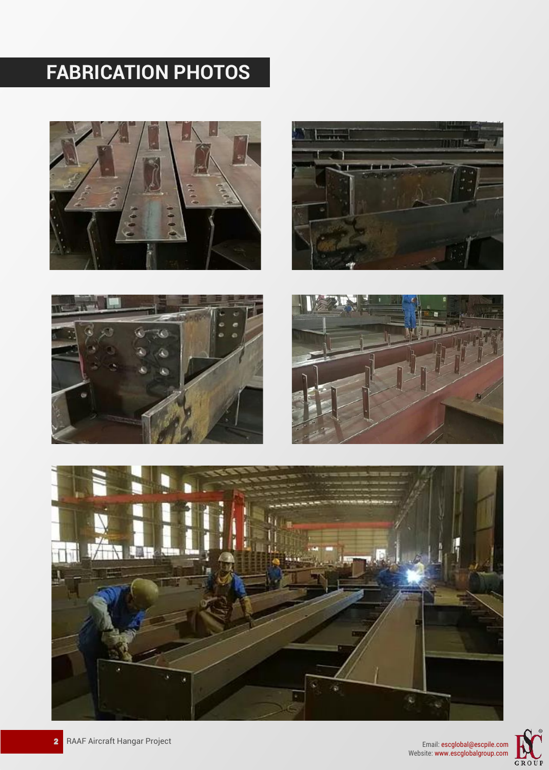# **FABRICATION PHOTOS**













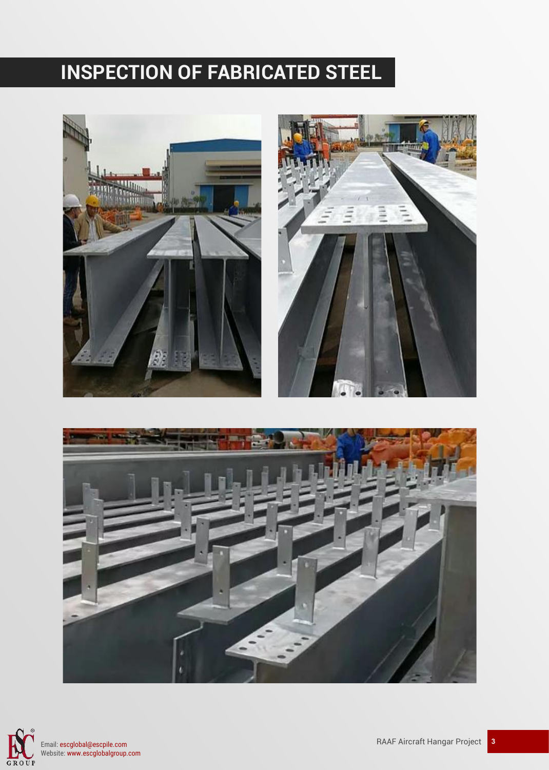### **INSPECTION OF FABRICATED STEEL**









Email: escglobal@escpile.com Website: www.escglobalgroup.com